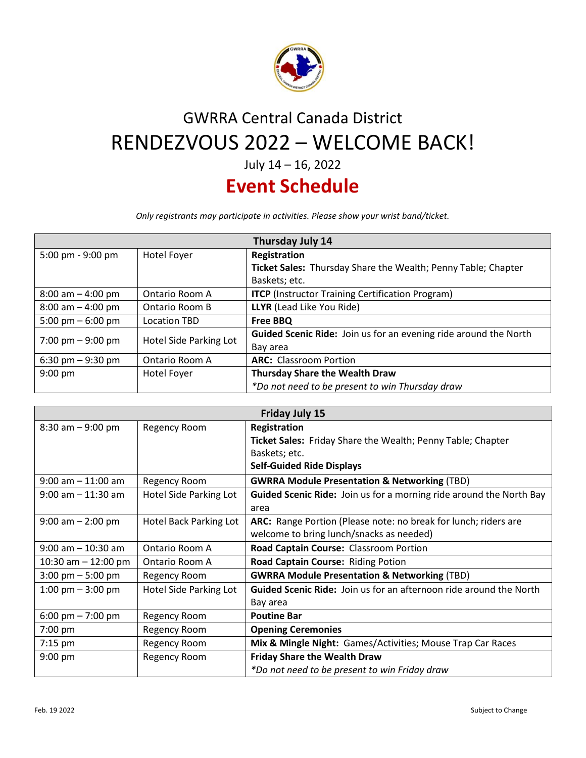

## GWRRA Central Canada District RENDEZVOUS 2022 – WELCOME BACK!

July 14 – 16, 2022

## **Event Schedule**

*Only registrants may participate in activities. Please show your wrist band/ticket.*

| Thursday July 14     |                        |                                                                  |  |
|----------------------|------------------------|------------------------------------------------------------------|--|
| 5:00 pm - 9:00 pm    | Hotel Foyer            | Registration                                                     |  |
|                      |                        | Ticket Sales: Thursday Share the Wealth; Penny Table; Chapter    |  |
|                      |                        | Baskets; etc.                                                    |  |
| $8:00$ am $-4:00$ pm | Ontario Room A         | <b>ITCP</b> (Instructor Training Certification Program)          |  |
| $8:00$ am $-4:00$ pm | Ontario Room B         | <b>LLYR</b> (Lead Like You Ride)                                 |  |
| 5:00 pm $-$ 6:00 pm  | <b>Location TBD</b>    | Free BBQ                                                         |  |
| 7:00 pm $-9:00$ pm   | Hotel Side Parking Lot | Guided Scenic Ride: Join us for an evening ride around the North |  |
|                      |                        | Bay area                                                         |  |
| 6:30 pm $-9:30$ pm   | Ontario Room A         | <b>ARC:</b> Classroom Portion                                    |  |
| $9:00$ pm            | Hotel Foyer            | <b>Thursday Share the Wealth Draw</b>                            |  |
|                      |                        | *Do not need to be present to win Thursday draw                  |  |

| Friday July 15                      |                        |                                                                           |  |
|-------------------------------------|------------------------|---------------------------------------------------------------------------|--|
| $8:30$ am $-9:00$ pm                | Regency Room           | Registration                                                              |  |
|                                     |                        | Ticket Sales: Friday Share the Wealth; Penny Table; Chapter               |  |
|                                     |                        | Baskets; etc.                                                             |  |
|                                     |                        | <b>Self-Guided Ride Displays</b>                                          |  |
| $9:00$ am $-11:00$ am               | Regency Room           | <b>GWRRA Module Presentation &amp; Networking (TBD)</b>                   |  |
| $9:00$ am $-11:30$ am               | Hotel Side Parking Lot | Guided Scenic Ride: Join us for a morning ride around the North Bay       |  |
|                                     |                        | area                                                                      |  |
| $9:00$ am $- 2:00$ pm               | Hotel Back Parking Lot | ARC: Range Portion (Please note: no break for lunch; riders are           |  |
|                                     |                        | welcome to bring lunch/snacks as needed)                                  |  |
| $9:00$ am $-10:30$ am               | Ontario Room A         | Road Captain Course: Classroom Portion                                    |  |
| 10:30 am $-$ 12:00 pm               | Ontario Room A         | Road Captain Course: Riding Potion                                        |  |
| $3:00 \text{ pm} - 5:00 \text{ pm}$ | Regency Room           | <b>GWRRA Module Presentation &amp; Networking (TBD)</b>                   |  |
| 1:00 pm $-$ 3:00 pm                 | Hotel Side Parking Lot | <b>Guided Scenic Ride:</b> Join us for an afternoon ride around the North |  |
|                                     |                        | Bay area                                                                  |  |
| 6:00 pm $- 7:00$ pm                 | Regency Room           | <b>Poutine Bar</b>                                                        |  |
| 7:00 pm                             | Regency Room           | <b>Opening Ceremonies</b>                                                 |  |
| $7:15$ pm                           | Regency Room           | Mix & Mingle Night: Games/Activities; Mouse Trap Car Races                |  |
| $9:00$ pm                           | Regency Room           | <b>Friday Share the Wealth Draw</b>                                       |  |
|                                     |                        | *Do not need to be present to win Friday draw                             |  |